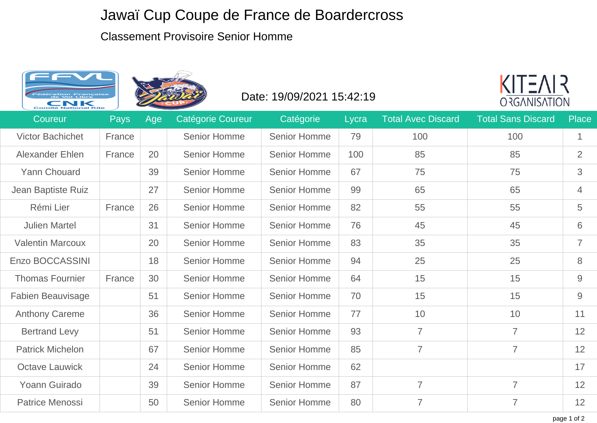## Jawaï Cup Coupe de France de Boardercross

## Classement Provisoire Senior Homme





## Date: 19/09/2021 15:42:19



| Coureur                  | <b>Pays</b> | Age | Catégorie Coureur   | Catégorie           | Lycra | <b>Total Avec Discard</b> | <b>Total Sans Discard</b> | Place          |
|--------------------------|-------------|-----|---------------------|---------------------|-------|---------------------------|---------------------------|----------------|
| <b>Victor Bachichet</b>  | France      |     | <b>Senior Homme</b> | <b>Senior Homme</b> | 79    | 100                       | 100                       | $\mathbf{1}$   |
| <b>Alexander Ehlen</b>   | France      | 20  | <b>Senior Homme</b> | <b>Senior Homme</b> | 100   | 85                        | 85                        | $\overline{2}$ |
| Yann Chouard             |             | 39  | <b>Senior Homme</b> | <b>Senior Homme</b> | 67    | 75                        | 75                        | 3              |
| Jean Baptiste Ruiz       |             | 27  | <b>Senior Homme</b> | <b>Senior Homme</b> | 99    | 65                        | 65                        | $\overline{4}$ |
| Rémi Lier                | France      | 26  | <b>Senior Homme</b> | <b>Senior Homme</b> | 82    | 55                        | 55                        | 5              |
| <b>Julien Martel</b>     |             | 31  | <b>Senior Homme</b> | <b>Senior Homme</b> | 76    | 45                        | 45                        | 6              |
| <b>Valentin Marcoux</b>  |             | 20  | <b>Senior Homme</b> | <b>Senior Homme</b> | 83    | 35                        | 35                        | $\overline{7}$ |
| Enzo BOCCASSINI          |             | 18  | <b>Senior Homme</b> | <b>Senior Homme</b> | 94    | 25                        | 25                        | 8              |
| <b>Thomas Fournier</b>   | France      | 30  | <b>Senior Homme</b> | <b>Senior Homme</b> | 64    | 15                        | 15                        | $9\,$          |
| <b>Fabien Beauvisage</b> |             | 51  | <b>Senior Homme</b> | <b>Senior Homme</b> | 70    | 15                        | 15                        | 9              |
| <b>Anthony Careme</b>    |             | 36  | <b>Senior Homme</b> | <b>Senior Homme</b> | 77    | 10                        | 10                        | 11             |
| <b>Bertrand Levy</b>     |             | 51  | <b>Senior Homme</b> | <b>Senior Homme</b> | 93    | $\overline{7}$            | $\overline{7}$            | 12             |
| <b>Patrick Michelon</b>  |             | 67  | <b>Senior Homme</b> | <b>Senior Homme</b> | 85    | $\overline{7}$            | $\overline{7}$            | 12             |
| <b>Octave Lauwick</b>    |             | 24  | <b>Senior Homme</b> | <b>Senior Homme</b> | 62    |                           |                           | 17             |
| Yoann Guirado            |             | 39  | <b>Senior Homme</b> | <b>Senior Homme</b> | 87    | $\overline{7}$            | $\overline{7}$            | 12             |
| <b>Patrice Menossi</b>   |             | 50  | <b>Senior Homme</b> | <b>Senior Homme</b> | 80    | $\overline{7}$            | $\overline{7}$            | 12             |